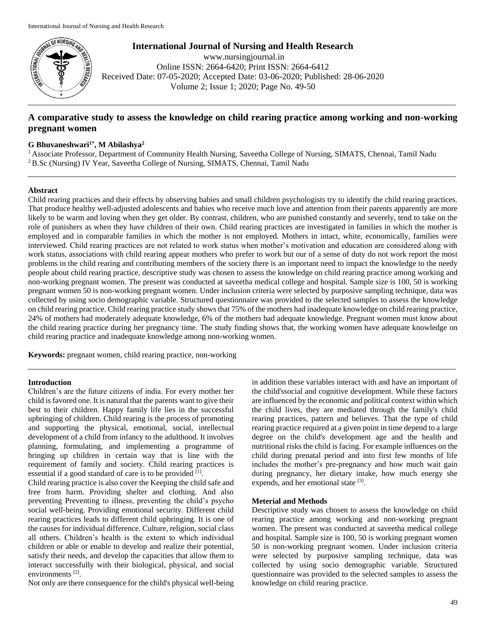

**International Journal of Nursing and Health Research** www.nursingjournal.in Online ISSN: 2664-6420; Print ISSN: 2664-6412 Received Date: 07-05-2020; Accepted Date: 03-06-2020; Published: 28-06-2020

Volume 2; Issue 1; 2020; Page No. 49-50

# **A comparative study to assess the knowledge on child rearing practice among working and non-working pregnant women**

### **G Bhuvaneshwari1\* , M Abilashya<sup>2</sup>**

<sup>1</sup> Associate Professor, Department of Community Health Nursing, Saveetha College of Nursing, SIMATS, Chennai, Tamil Nadu <sup>2</sup>B.Sc (Nursing) IV Year, Saveetha College of Nursing, SIMATS, Chennai, Tamil Nadu

## **Abstract**

Child rearing practices and their effects by observing babies and small children psychologists try to identify the child rearing practices. That produce healthy well-adjusted adolescents and babies who receive much love and attention from their parents apparently are more likely to be warm and loving when they get older. By contrast, children, who are punished constantly and severely, tend to take on the role of punishers as when they have children of their own. Child rearing practices are investigated in families in which the mother is employed and in comparable families in which the mother is not employed. Mothers in intact, white, economically, families were interviewed. Child rearing practices are not related to work status when mother's motivation and education are considered along with work status, associations with child rearing appear mothers who prefer to work but our of a sense of duty do not work report the most problems in the child rearing and contributing members of the society there is an important need to impact the knowledge to the needy people about child rearing practice, descriptive study was chosen to assess the knowledge on child rearing practice among working and non-working pregnant women. The present was conducted at saveetha medical college and hospital. Sample size is 100, 50 is working pregnant women 50 is non-working pregnant women. Under inclusion criteria were selected by purposive sampling technique, data was collected by using socio demographic variable. Structured questionnaire was provided to the selected samples to assess the knowledge on child rearing practice. Child rearing practice study shows that 75% of the mothers had inadequate knowledge on child rearing practice, 24% of mothers had moderately adequate knowledge, 6% of the mothers had adequate knowledge. Pregnant women must know about the child rearing practice during her pregnancy time. The study finding shows that, the working women have adequate knowledge on child rearing practice and inadequate knowledge among non-working women.

**Keywords:** pregnant women, child rearing practice, non-working

### **Introduction**

Children's are the future citizens of india. For every mother her child is favored one. It is natural that the parents want to give their best to their children. Happy family life lies in the successful upbringing of children. Child rearing is the process of promoting and supporting the physical, emotional, social, intellectual development of a child from infancy to the adulthood. It involves planning, formulating, and implementing a programme of bringing up children in certain way that is line with the requirement of family and society. Child rearing practices is essential if a good standard of care is to be provided [1].

Child rearing practice is also cover the Keeping the child safe and free from harm. Providing shelter and clothing. And also preventing Preventing to illness, preventing the child's psycho social well-being. Providing emotional security. Different child rearing practices leads to different child upbringing. It is one of the causes for individual difference. Culture, religion, social class all others. Children's health is the extent to which individual children or able or enable to develop and realize their potential, satisfy their needs, and develop the capacities that allow them to interact successfully with their biological, physical, and social environments<sup>[2]</sup>.

Not only are there consequence for the child's physical well-being

in addition these variables interact with and have an important of the child'ssocial and cognitive development. While these factors are influenced by the economic and political context within which the child lives, they are mediated through the family's child rearing practices, pattern and believes. That the type of child rearing practice required at a given point in time depend to a large degree on the child's development age and the health and nutritional risks the child is facing. For example influences on the child during prenatal period and into first few months of life includes the mother's pre-pregnancy and how much wait gain during pregnancy, her dietary intake, how much energy she expends, and her emotional state [3].

#### **Meterial and Methods**

Descriptive study was chosen to assess the knowledge on child rearing practice among working and non-working pregnant women. The present was conducted at saveetha medical college and hospital. Sample size is 100, 50 is working pregnant women 50 is non-working pregnant women. Under inclusion criteria were selected by purposive sampling technique, data was collected by using socio demographic variable. Structured questionnaire was provided to the selected samples to assess the knowledge on child rearing practice.